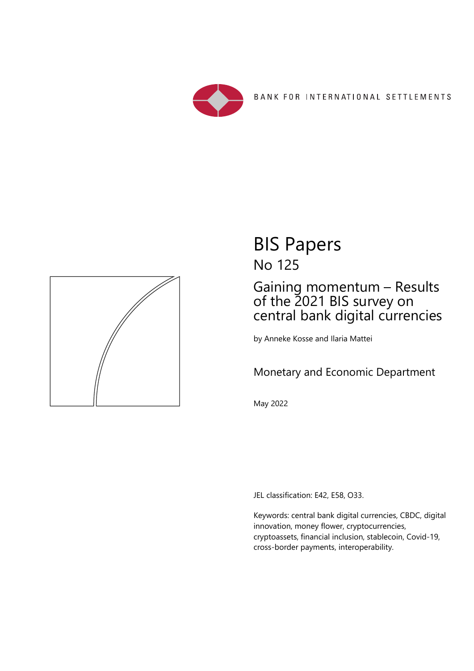



## BIS Papers No 125

## Gaining momentum – Results of the 2021 BIS survey on central bank digital currencies

by Anneke Kosse and Ilaria Mattei

## Monetary and Economic Department

May 2022

JEL classification: E42, E58, O33.

Keywords: central bank digital currencies, CBDC, digital innovation, money flower, cryptocurrencies, cryptoassets, financial inclusion, stablecoin, Covid-19, cross-border payments, interoperability.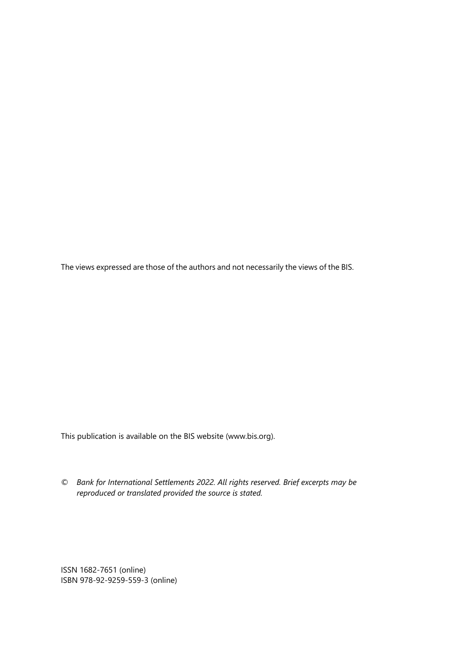The views expressed are those of the authors and not necessarily the views of the BIS.

This publication is available on the BIS website (www.bis.org).

*© Bank for International Settlements 2022. All rights reserved. Brief excerpts may be reproduced or translated provided the source is stated.* 

ISSN 1682-7651 (online) ISBN 978-92-9259-559-3 (online)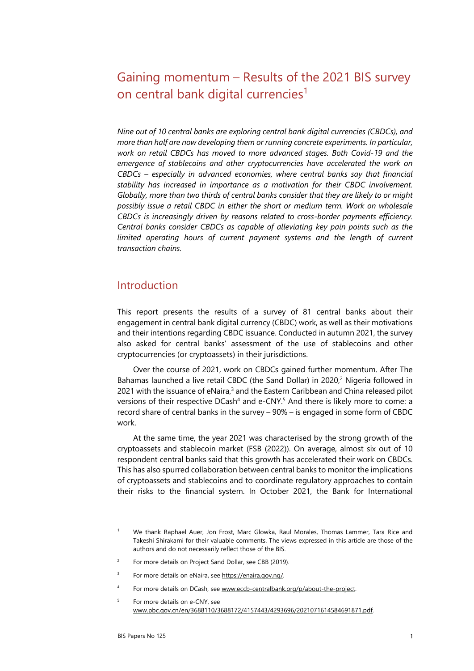## Gaining momentum – Results of the 2021 BIS survey on central bank digital currencies<sup>[1](#page-2-4)</sup>

*Nine out of 10 central banks are exploring central bank digital currencies (CBDCs), and more than half are now developing them or running concrete experiments. In particular, work on retail CBDCs has moved to more advanced stages. Both Covid-19 and the emergence of stablecoins and other cryptocurrencies have accelerated the work on CBDCs – especially in advanced economies, where central banks say that financial stability has increased in importance as a motivation for their CBDC involvement. Globally, more than two thirds of central banks consider that they are likely to or might possibly issue a retail CBDC in either the short or medium term. Work on wholesale CBDCs is increasingly driven by reasons related to cross-border payments efficiency. Central banks consider CBDCs as capable of alleviating key pain points such as the limited operating hours of current payment systems and the length of current transaction chains.* 

#### Introduction

This report presents the results of a survey of 81 central banks about their engagement in central bank digital currency (CBDC) work, as well as their motivations and their intentions regarding CBDC issuance. Conducted in autumn 2021, the survey also asked for central banks' assessment of the use of stablecoins and other cryptocurrencies (or cryptoassets) in their jurisdictions.

Over the course of 2021, work on CBDCs gained further momentum. After The Bahamas launched a live retail CBDC (the Sand Dollar) in 2020,<sup>2</sup> Nigeria followed in 2021 with the issuance of eNaira,<sup>3</sup> and the Eastern Caribbean and China released pilot versions of their respective DCash<sup>4</sup> and e-CNY.<sup>5</sup> And there is likely more to come: a record share of central banks in the survey – 90% – is engaged in some form of CBDC work.

At the same time, the year 2021 was characterised by the strong growth of the cryptoassets and stablecoin market (FSB (2022)). On average, almost six out of 10 respondent central banks said that this growth has accelerated their work on CBDCs. This has also spurred collaboration between central banks to monitor the implications of cryptoassets and stablecoins and to coordinate regulatory approaches to contain their risks to the financial system. In October 2021, the Bank for International

- <span id="page-2-3"></span> $\overline{2}$ For more details on Project Sand Dollar, see CBB (2019).
- <span id="page-2-2"></span>3 For more details on eNaira, see https://enaira.gov.ng/.
- <span id="page-2-1"></span>4 For more details on DCash, see www.eccb-centralbank.org/p/about-the-project.
- <span id="page-2-0"></span>5 For more details on e-CNY, see www.pbc.gov.cn/en/3688110/3688172/4157443/4293696/2021071614584691871.pdf.

<span id="page-2-4"></span><sup>1</sup> We thank Raphael Auer, Jon Frost, Marc Glowka, Raul Morales, Thomas Lammer, Tara Rice and Takeshi Shirakami for their valuable comments. The views expressed in this article are those of the authors and do not necessarily reflect those of the BIS.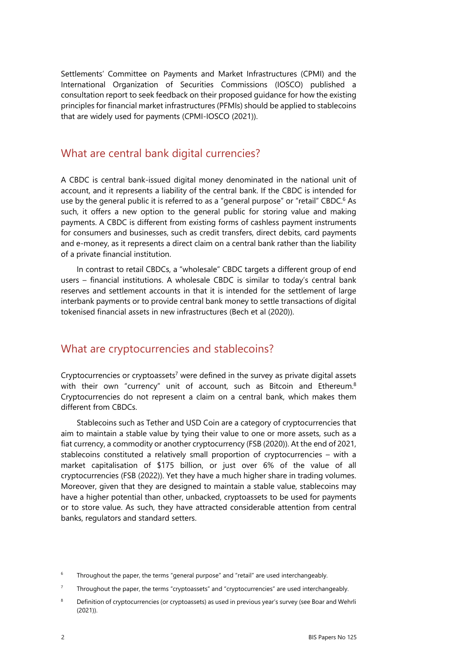Settlements' Committee on Payments and Market Infrastructures (CPMI) and the International Organization of Securities Commissions (IOSCO) published a consultation report to seek feedback on their proposed guidance for how the existing principles for financial market infrastructures (PFMIs) should be applied to stablecoins that are widely used for payments (CPMI-IOSCO (2021)).

#### What are central bank digital currencies?

A CBDC is central bank-issued digital money denominated in the national unit of account, and it represents a liability of the central bank. If the CBDC is intended for use by the general public it is referred to as a "general purpose" or "retail" CBDC.<sup>[6](#page-3-2)</sup> As such, it offers a new option to the general public for storing value and making payments. A CBDC is different from existing forms of cashless payment instruments for consumers and businesses, such as credit transfers, direct debits, card payments and e-money, as it represents a direct claim on a central bank rather than the liability of a private financial institution.

In contrast to retail CBDCs, a "wholesale" CBDC targets a different group of end users – financial institutions. A wholesale CBDC is similar to today's central bank reserves and settlement accounts in that it is intended for the settlement of large interbank payments or to provide central bank money to settle transactions of digital tokenised financial assets in new infrastructures (Bech et al (2020)).

### What are cryptocurrencies and stablecoins?

Cryptocurrencies or cryptoassets<sup>7</sup> were defined in the survey as private digital assets with their own "currency" unit of account, such as Bitcoin and Ethereum.<sup>8</sup> Cryptocurrencies do not represent a claim on a central bank, which makes them different from CBDCs.

Stablecoins such as Tether and USD Coin are a category of cryptocurrencies that aim to maintain a stable value by tying their value to one or more assets, such as a fiat currency, a commodity or another cryptocurrency (FSB (2020)). At the end of 2021, stablecoins constituted a relatively small proportion of cryptocurrencies – with a market capitalisation of \$175 billion, or just over 6% of the value of all cryptocurrencies (FSB (2022)). Yet they have a much higher share in trading volumes. Moreover, given that they are designed to maintain a stable value, stablecoins may have a higher potential than other, unbacked, cryptoassets to be used for payments or to store value. As such, they have attracted considerable attention from central banks, regulators and standard setters.

<span id="page-3-2"></span><sup>6</sup> Throughout the paper, the terms "general purpose" and "retail" are used interchangeably.

<span id="page-3-1"></span><sup>7</sup> Throughout the paper, the terms "cryptoassets" and "cryptocurrencies" are used interchangeably.

<span id="page-3-0"></span><sup>8</sup> Definition of cryptocurrencies (or cryptoassets) as used in previous year's survey (see Boar and Wehrli (2021)).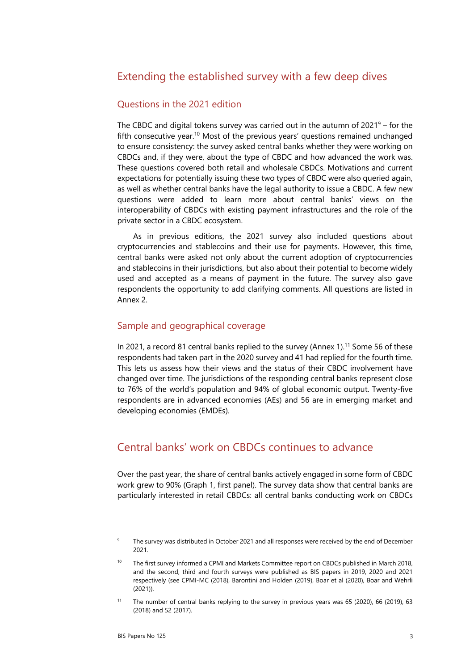### Extending the established survey with a few deep dives

#### Questions in the 2021 edition

The CBDC and digital tokens survey was carried out in the autumn of  $2021<sup>9</sup>$  – for the fifth consecutive year[.10](#page-4-1) Most of the previous years' questions remained unchanged to ensure consistency: the survey asked central banks whether they were working on CBDCs and, if they were, about the type of CBDC and how advanced the work was. These questions covered both retail and wholesale CBDCs. Motivations and current expectations for potentially issuing these two types of CBDC were also queried again, as well as whether central banks have the legal authority to issue a CBDC. A few new questions were added to learn more about central banks' views on the interoperability of CBDCs with existing payment infrastructures and the role of the private sector in a CBDC ecosystem.

As in previous editions, the 2021 survey also included questions about cryptocurrencies and stablecoins and their use for payments. However, this time, central banks were asked not only about the current adoption of cryptocurrencies and stablecoins in their jurisdictions, but also about their potential to become widely used and accepted as a means of payment in the future. The survey also gave respondents the opportunity to add clarifying comments. All questions are listed in Annex 2.

#### Sample and geographical coverage

In 2021, a record 81 central banks replied to the survey (Annex 1).<sup>11</sup> Some 56 of these respondents had taken part in the 2020 survey and 41 had replied for the fourth time. This lets us assess how their views and the status of their CBDC involvement have changed over time. The jurisdictions of the responding central banks represent close to 76% of the world's population and 94% of global economic output. Twenty-five respondents are in advanced economies (AEs) and 56 are in emerging market and developing economies (EMDEs).

### Central banks' work on CBDCs continues to advance

Over the past year, the share of central banks actively engaged in some form of CBDC work grew to 90% (Graph 1, first panel). The survey data show that central banks are particularly interested in retail CBDCs: all central banks conducting work on CBDCs

<span id="page-4-2"></span><sup>9</sup> The survey was distributed in October 2021 and all responses were received by the end of December 2021.

<span id="page-4-1"></span><sup>10</sup> The first survey informed a CPMI and Markets Committee report on CBDCs published in March 2018, and the second, third and fourth surveys were published as BIS papers in 2019, 2020 and 2021 respectively (see CPMI-MC (2018), Barontini and Holden (2019), Boar et al (2020), Boar and Wehrli (2021)).

<span id="page-4-0"></span><sup>11</sup> The number of central banks replying to the survey in previous years was 65 (2020), 66 (2019), 63 (2018) and 52 (2017).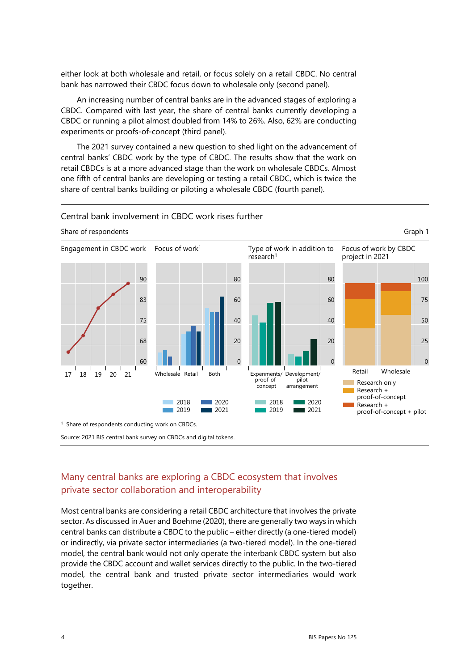either look at both wholesale and retail, or focus solely on a retail CBDC. No central bank has narrowed their CBDC focus down to wholesale only (second panel).

An increasing number of central banks are in the advanced stages of exploring a CBDC. Compared with last year, the share of central banks currently developing a CBDC or running a pilot almost doubled from 14% to 26%. Also, 62% are conducting experiments or proofs-of-concept (third panel).

The 2021 survey contained a new question to shed light on the advancement of central banks' CBDC work by the type of CBDC. The results show that the work on retail CBDCs is at a more advanced stage than the work on wholesale CBDCs. Almost one fifth of central banks are developing or testing a retail CBDC, which is twice the share of central banks building or piloting a wholesale CBDC (fourth panel).

#### Central bank involvement in CBDC work rises further



Share of respondents Graph 1

#### Many central banks are exploring a CBDC ecosystem that involves private sector collaboration and interoperability

Most central banks are considering a retail CBDC architecture that involves the private sector. As discussed in Auer and Boehme (2020), there are generally two ways in which central banks can distribute a CBDC to the public – either directly (a one-tiered model) or indirectly, via private sector intermediaries (a two-tiered model). In the one-tiered model, the central bank would not only operate the interbank CBDC system but also provide the CBDC account and wallet services directly to the public. In the two-tiered model, the central bank and trusted private sector intermediaries would work together.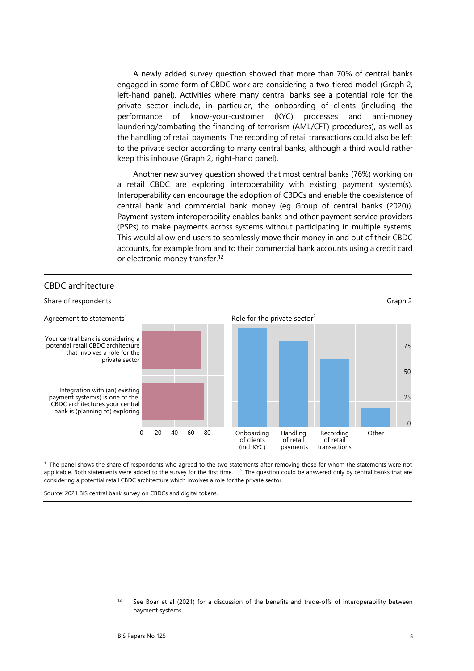A newly added survey question showed that more than 70% of central banks engaged in some form of CBDC work are considering a two-tiered model (Graph 2, left-hand panel). Activities where many central banks see a potential role for the private sector include, in particular, the onboarding of clients (including the performance of know-your-customer (KYC) processes and anti-money laundering/combating the financing of terrorism (AML/CFT) procedures), as well as the handling of retail payments. The recording of retail transactions could also be left to the private sector according to many central banks, although a third would rather keep this inhouse (Graph 2, right-hand panel).

Another new survey question showed that most central banks (76%) working on a retail CBDC are exploring interoperability with existing payment system(s). Interoperability can encourage the adoption of CBDCs and enable the coexistence of central bank and commercial bank money (eg Group of central banks (2020)). Payment system interoperability enables banks and other payment service providers (PSPs) to make payments across systems without participating in multiple systems. This would allow end users to seamlessly move their money in and out of their CBDC accounts, for example from and to their commercial bank accounts using a credit card or electronic money transfer.<sup>[12](#page-6-0)</sup>



<sup>1</sup> The panel shows the share of respondents who agreed to the two statements after removing those for whom the statements were not applicable. Both statements were added to the survey for the first time.  $\frac{2}{3}$  The question could be answered only by central banks that are considering a potential retail CBDC architecture which involves a role for the private sector.

<span id="page-6-0"></span>Source: 2021 BIS central bank survey on CBDCs and digital tokens.

<sup>&</sup>lt;sup>12</sup> See Boar et al (2021) for a discussion of the benefits and trade-offs of interoperability between payment systems.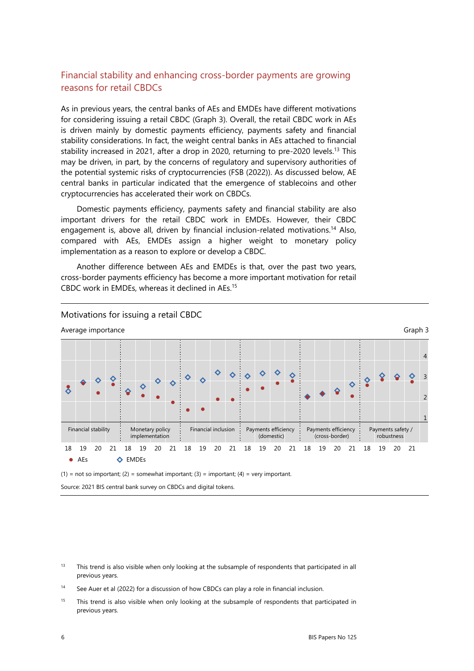#### Financial stability and enhancing cross-border payments are growing reasons for retail CBDCs

As in previous years, the central banks of AEs and EMDEs have different motivations for considering issuing a retail CBDC (Graph 3). Overall, the retail CBDC work in AEs is driven mainly by domestic payments efficiency, payments safety and financial stability considerations. In fact, the weight central banks in AEs attached to financial stability increased in 2021, after a drop in 2020, returning to pre-2020 levels.<sup>13</sup> This may be driven, in part, by the concerns of regulatory and supervisory authorities of the potential systemic risks of cryptocurrencies (FSB (2022)). As discussed below, AE central banks in particular indicated that the emergence of stablecoins and other cryptocurrencies has accelerated their work on CBDCs.

Domestic payments efficiency, payments safety and financial stability are also important drivers for the retail CBDC work in EMDEs. However, their CBDC engagement is, above all, driven by financial inclusion-related motivations.<sup>14</sup> Also, compared with AEs, EMDEs assign a higher weight to monetary policy implementation as a reason to explore or develop a CBDC.

Another difference between AEs and EMDEs is that, over the past two years, cross-border payments efficiency has become a more important motivation for retail CBDC work in EMDEs, whereas it declined in AEs.[15](#page-7-0)



 $(1)$  = not so important; (2) = somewhat important; (3) = important; (4) = very important.

Source: 2021 BIS central bank survey on CBDCs and digital tokens.

<span id="page-7-0"></span> $15$  This trend is also visible when only looking at the subsample of respondents that participated in previous years.

<span id="page-7-2"></span><sup>&</sup>lt;sup>13</sup> This trend is also visible when only looking at the subsample of respondents that participated in all previous years.

<span id="page-7-1"></span><sup>&</sup>lt;sup>14</sup> See Auer et al (2022) for a discussion of how CBDCs can play a role in financial inclusion.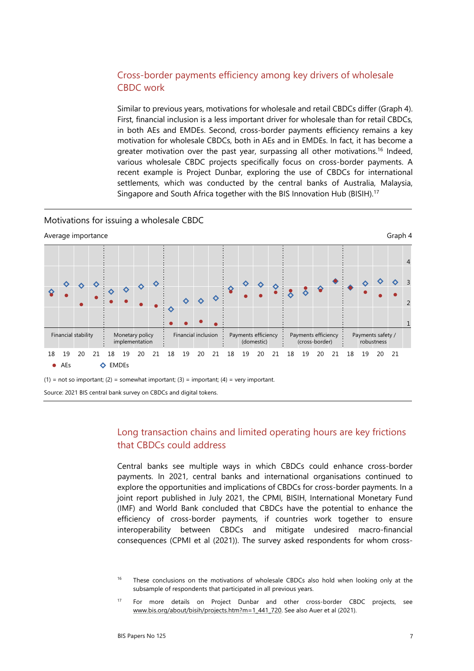#### Cross-border payments efficiency among key drivers of wholesale CBDC work

Similar to previous years, motivations for wholesale and retail CBDCs differ (Graph 4). First, financial inclusion is a less important driver for wholesale than for retail CBDCs, in both AEs and EMDEs. Second, cross-border payments efficiency remains a key motivation for wholesale CBDCs, both in AEs and in EMDEs. In fact, it has become a greater motivation over the past year, surpassing all other motivations.<sup>16</sup> Indeed, various wholesale CBDC projects specifically focus on cross-border payments. A recent example is Project Dunbar, exploring the use of CBDCs for international settlements, which was conducted by the central banks of Australia, Malaysia, Singapore and South Africa together with the BIS Innovation Hub (BISIH).[17](#page-8-0)

#### Motivations for issuing a wholesale CBDC



(1) = not so important; (2) = somewhat important; (3) = important; (4) = very important.

Source: 2021 BIS central bank survey on CBDCs and digital tokens.

#### Long transaction chains and limited operating hours are key frictions that CBDCs could address

Central banks see multiple ways in which CBDCs could enhance cross-border payments. In 2021, central banks and international organisations continued to explore the opportunities and implications of CBDCs for cross-border payments. In a joint report published in July 2021, the CPMI, BISIH, International Monetary Fund (IMF) and World Bank concluded that CBDCs have the potential to enhance the efficiency of cross-border payments, if countries work together to ensure interoperability between CBDCs and mitigate undesired macro-financial consequences (CPMI et al (2021)). The survey asked respondents for whom cross-

<span id="page-8-1"></span><sup>&</sup>lt;sup>16</sup> These conclusions on the motivations of wholesale CBDCs also hold when looking only at the subsample of respondents that participated in all previous years.

<span id="page-8-0"></span><sup>17</sup> For more details on Project Dunbar and other cross-border CBDC projects, see [www.bis.org/about/bisih/projects.htm?m=1\\_441\\_720.](https://sp.bisinfo.org/sites/med/cpmi/wgdi/Documents/CBDC%20survey/2021/Drafting/www.bis.org/about/bisih/projects.htm?m=1_441_720) See also Auer et al (2021).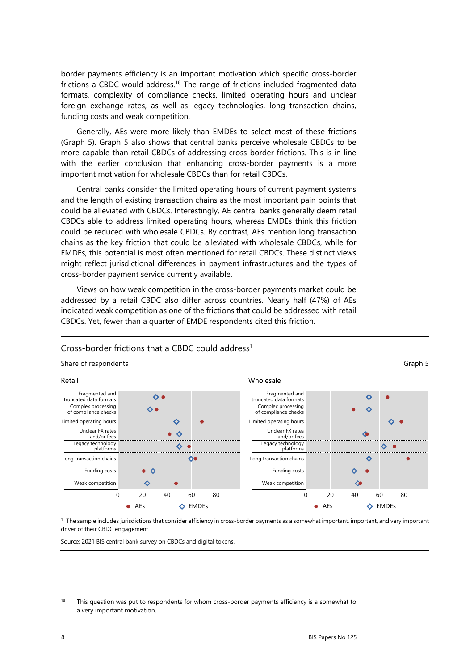border payments efficiency is an important motivation which specific cross-border frictions a CBDC would address[.18](#page-9-0) The range of frictions included fragmented data formats, complexity of compliance checks, limited operating hours and unclear foreign exchange rates, as well as legacy technologies, long transaction chains, funding costs and weak competition.

Generally, AEs were more likely than EMDEs to select most of these frictions (Graph 5). Graph 5 also shows that central banks perceive wholesale CBDCs to be more capable than retail CBDCs of addressing cross-border frictions. This is in line with the earlier conclusion that enhancing cross-border payments is a more important motivation for wholesale CBDCs than for retail CBDCs.

Central banks consider the limited operating hours of current payment systems and the length of existing transaction chains as the most important pain points that could be alleviated with CBDCs. Interestingly, AE central banks generally deem retail CBDCs able to address limited operating hours, whereas EMDEs think this friction could be reduced with wholesale CBDCs. By contrast, AEs mention long transaction chains as the key friction that could be alleviated with wholesale CBDCs, while for EMDEs, this potential is most often mentioned for retail CBDCs. These distinct views might reflect jurisdictional differences in payment infrastructures and the types of cross-border payment service currently available.

Views on how weak competition in the cross-border payments market could be addressed by a retail CBDC also differ across countries. Nearly half (47%) of AEs indicated weak competition as one of the frictions that could be addressed with retail CBDCs. Yet, fewer than a quarter of EMDE respondents cited this friction.

#### Share of respondents Graph 5 Retail Wholesale Fragmented and Fragmented and  $\ddot{\bullet}$  $\ddot{\circ}$ truncated data formats truncated data formats Complex processing Complex processing  $\Diamond \bullet$  $\Diamond$ of compliance checks of compliance checks Limited operating hours Limited operating hours  $\Diamond$  $\ddot{\mathbf{C}}$ - 6 Unclear FX rates Unclear FX rates  $\bullet$   $\diamond$  $\bullet$ and/or fees and/or fees Legacy technology Legacy technology ♦  $\bullet$ ♦ platforms platforms Long transaction chains  $\infty$ Long transaction chains  $\ddot{\mathbf{\circ}}$ Funding costs  $\bullet$   $\circ$ Funding costs  $\Diamond$  $\bullet$ Weak competition  $\Diamond$ Weak competition  $\Diamond$ 0 20 40 60 80 0 20 40 60 80 ● AFs ◆ FMDFs  $\bullet$  AEs  $\bullet$  EMDEs

#### Cross-border frictions that a CBDC could address<sup>1</sup>

1 The sample includes jurisdictions that consider efficiency in cross-border payments as a somewhat important, important, and very important driver of their CBDC engagement.

Source: 2021 BIS central bank survey on CBDCs and digital tokens.

<span id="page-9-0"></span> $18$  This question was put to respondents for whom cross-border payments efficiency is a somewhat to a very important motivation.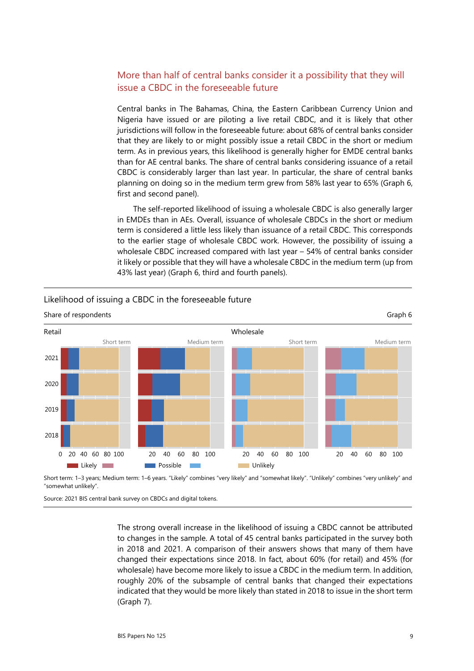#### More than half of central banks consider it a possibility that they will issue a CBDC in the foreseeable future

Central banks in The Bahamas, China, the Eastern Caribbean Currency Union and Nigeria have issued or are piloting a live retail CBDC, and it is likely that other jurisdictions will follow in the foreseeable future: about 68% of central banks consider that they are likely to or might possibly issue a retail CBDC in the short or medium term. As in previous years, this likelihood is generally higher for EMDE central banks than for AE central banks. The share of central banks considering issuance of a retail CBDC is considerably larger than last year. In particular, the share of central banks planning on doing so in the medium term grew from 58% last year to 65% (Graph 6, first and second panel).

The self-reported likelihood of issuing a wholesale CBDC is also generally larger in EMDEs than in AEs. Overall, issuance of wholesale CBDCs in the short or medium term is considered a little less likely than issuance of a retail CBDC. This corresponds to the earlier stage of wholesale CBDC work. However, the possibility of issuing a wholesale CBDC increased compared with last year – 54% of central banks consider it likely or possible that they will have a wholesale CBDC in the medium term (up from 43% last year) (Graph 6, third and fourth panels).



#### Likelihood of issuing a CBDC in the foreseeable future

Short term: 1–3 years; Medium term: 1–6 years. "Likely" combines "very likely" and "somewhat likely". "Unlikely" combines "very unlikely" and "somewhat unlikely".

Source: 2021 BIS central bank survey on CBDCs and digital tokens.

The strong overall increase in the likelihood of issuing a CBDC cannot be attributed to changes in the sample. A total of 45 central banks participated in the survey both in 2018 and 2021. A comparison of their answers shows that many of them have changed their expectations since 2018. In fact, about 60% (for retail) and 45% (for wholesale) have become more likely to issue a CBDC in the medium term. In addition, roughly 20% of the subsample of central banks that changed their expectations indicated that they would be more likely than stated in 2018 to issue in the short term (Graph 7).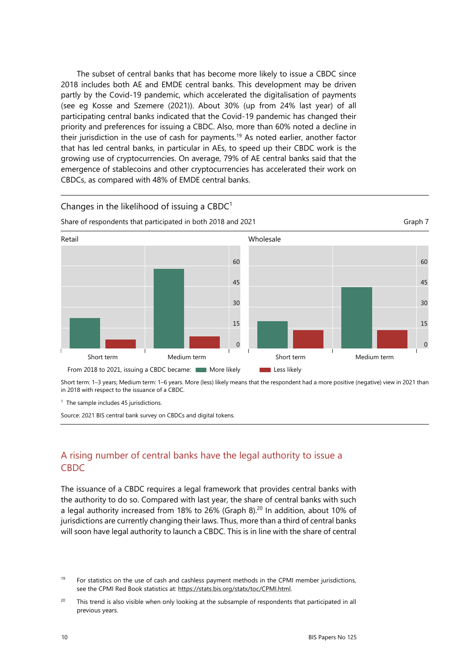The subset of central banks that has become more likely to issue a CBDC since 2018 includes both AE and EMDE central banks. This development may be driven partly by the Covid-19 pandemic, which accelerated the digitalisation of payments (see eg Kosse and Szemere (2021)). About 30% (up from 24% last year) of all participating central banks indicated that the Covid-19 pandemic has changed their priority and preferences for issuing a CBDC. Also, more than 60% noted a decline in their jurisdiction in the use of cash for payments.<sup>19</sup> As noted earlier, another factor that has led central banks, in particular in AEs, to speed up their CBDC work is the growing use of cryptocurrencies. On average, 79% of AE central banks said that the emergence of stablecoins and other cryptocurrencies has accelerated their work on CBDCs, as compared with 48% of EMDE central banks.



Short term: 1–3 years; Medium term: 1–6 years. More (less) likely means that the respondent had a more positive (negative) view in 2021 than in 2018 with respect to the issuance of a CBDC.

<sup>1</sup> The sample includes 45 jurisdictions.

Source: 2021 BIS central bank survey on CBDCs and digital tokens.

Changes in the likelihood of issuing a  $CBDC<sup>1</sup>$ 

#### A rising number of central banks have the legal authority to issue a CBDC

The issuance of a CBDC requires a legal framework that provides central banks with the authority to do so. Compared with last year, the share of central banks with such a legal authority increased from 18% to 26% (Graph 8)[.20](#page-11-0) In addition, about 10% of jurisdictions are currently changing their laws. Thus, more than a third of central banks will soon have legal authority to launch a CBDC. This is in line with the share of central

<span id="page-11-1"></span><sup>&</sup>lt;sup>19</sup> For statistics on the use of cash and cashless payment methods in the CPMI member jurisdictions, see the CPMI Red Book statistics at: https://stats.bis.org/statx/toc/CPMI.html.

<span id="page-11-0"></span><sup>&</sup>lt;sup>20</sup> This trend is also visible when only looking at the subsample of respondents that participated in all previous years.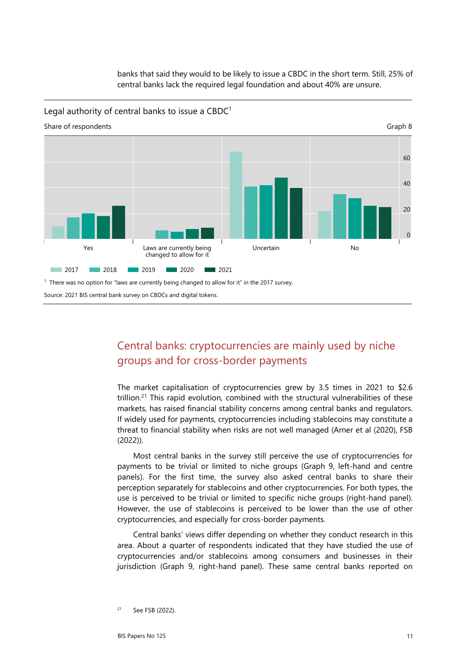banks that said they would to be likely to issue a CBDC in the short term. Still, 25% of central banks lack the required legal foundation and about 40% are unsure.

Legal authority of central banks to issue a  $CBDC<sup>1</sup>$ 



Source: 2021 BIS central bank survey on CBDCs and digital tokens.

## Central banks: cryptocurrencies are mainly used by niche groups and for cross-border payments

The market capitalisation of cryptocurrencies grew by 3.5 times in 2021 to \$2.6 trillion.<sup>21</sup> This rapid evolution, combined with the structural vulnerabilities of these markets, has raised financial stability concerns among central banks and regulators. If widely used for payments, cryptocurrencies including stablecoins may constitute a threat to financial stability when risks are not well managed (Arner et al (2020), FSB (2022)).

Most central banks in the survey still perceive the use of cryptocurrencies for payments to be trivial or limited to niche groups (Graph 9, left-hand and centre panels). For the first time, the survey also asked central banks to share their perception separately for stablecoins and other cryptocurrencies. For both types, the use is perceived to be trivial or limited to specific niche groups (right-hand panel). However, the use of stablecoins is perceived to be lower than the use of other cryptocurrencies, and especially for cross-border payments.

Central banks' views differ depending on whether they conduct research in this area. About a quarter of respondents indicated that they have studied the use of cryptocurrencies and/or stablecoins among consumers and businesses in their jurisdiction (Graph 9, right-hand panel). These same central banks reported on

<span id="page-12-0"></span><sup>21</sup> See FSB (2022).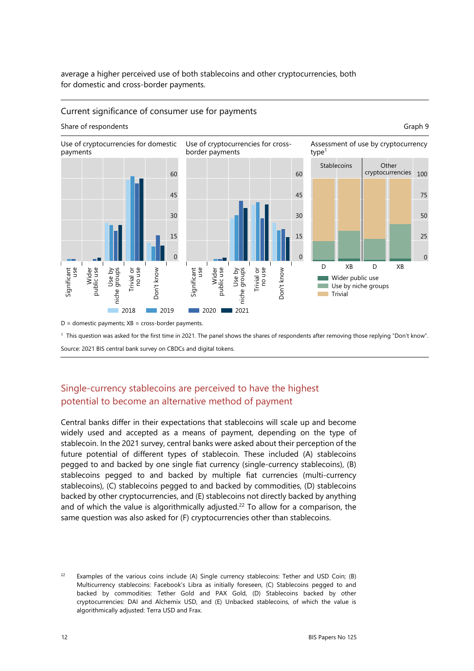average a higher perceived use of both stablecoins and other cryptocurrencies, both for domestic and cross-border payments.

#### Current significance of consumer use for payments

#### Share of respondents Graph 9



 $D =$  domestic payments;  $XB =$  cross-border payments.

<sup>1</sup> This question was asked for the first time in 2021. The panel shows the shares of respondents after removing those replying "Don't know".

Source: 2021 BIS central bank survey on CBDCs and digital tokens.

#### Single-currency stablecoins are perceived to have the highest potential to become an alternative method of payment

Central banks differ in their expectations that stablecoins will scale up and become widely used and accepted as a means of payment, depending on the type of stablecoin. In the 2021 survey, central banks were asked about their perception of the future potential of different types of stablecoin. These included (A) stablecoins pegged to and backed by one single fiat currency (single-currency stablecoins), (B) stablecoins pegged to and backed by multiple fiat currencies (multi-currency stablecoins), (C) stablecoins pegged to and backed by commodities, (D) stablecoins backed by other cryptocurrencies, and (E) stablecoins not directly backed by anything and of which the value is algorithmically adjusted.<sup>22</sup> To allow for a comparison, the same question was also asked for (F) cryptocurrencies other than stablecoins.

<span id="page-13-0"></span><sup>&</sup>lt;sup>22</sup> Examples of the various coins include (A) Single currency stablecoins: Tether and USD Coin; (B) Multicurrency stablecoins: Facebook's Libra as initially foreseen, (C) Stablecoins pegged to and backed by commodities: Tether Gold and PAX Gold, (D) Stablecoins backed by other cryptocurrencies: DAI and Alchemix USD, and (E) Unbacked stablecoins, of which the value is algorithmically adjusted: Terra USD and Frax.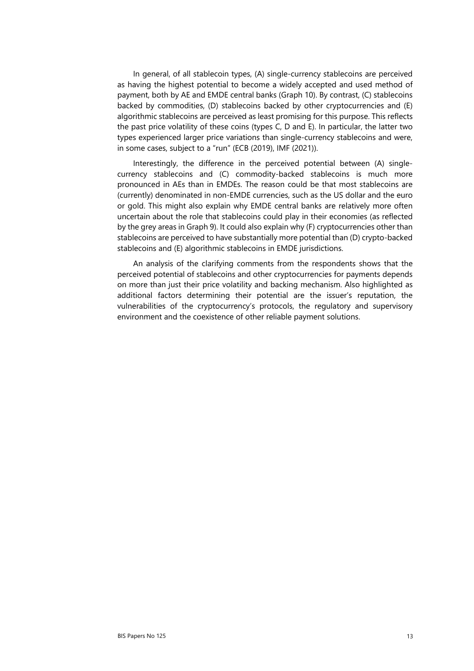In general, of all stablecoin types, (A) single-currency stablecoins are perceived as having the highest potential to become a widely accepted and used method of payment, both by AE and EMDE central banks (Graph 10). By contrast, (C) stablecoins backed by commodities, (D) stablecoins backed by other cryptocurrencies and (E) algorithmic stablecoins are perceived as least promising for this purpose. This reflects the past price volatility of these coins (types C, D and E). In particular, the latter two types experienced larger price variations than single-currency stablecoins and were, in some cases, subject to a "run" (ECB (2019), IMF (2021)).

Interestingly, the difference in the perceived potential between (A) singlecurrency stablecoins and (C) commodity-backed stablecoins is much more pronounced in AEs than in EMDEs. The reason could be that most stablecoins are (currently) denominated in non-EMDE currencies, such as the US dollar and the euro or gold. This might also explain why EMDE central banks are relatively more often uncertain about the role that stablecoins could play in their economies (as reflected by the grey areas in Graph 9). It could also explain why (F) cryptocurrencies other than stablecoins are perceived to have substantially more potential than (D) crypto-backed stablecoins and (E) algorithmic stablecoins in EMDE jurisdictions.

An analysis of the clarifying comments from the respondents shows that the perceived potential of stablecoins and other cryptocurrencies for payments depends on more than just their price volatility and backing mechanism. Also highlighted as additional factors determining their potential are the issuer's reputation, the vulnerabilities of the cryptocurrency's protocols, the regulatory and supervisory environment and the coexistence of other reliable payment solutions.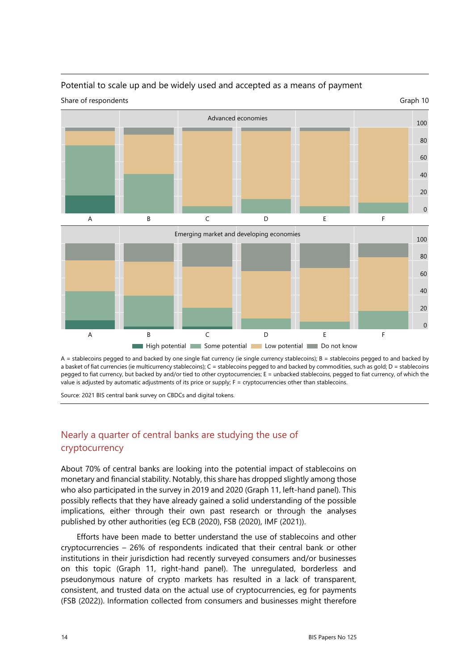

# Potential to scale up and be widely used and accepted as a means of payment

A = stablecoins pegged to and backed by one single fiat currency (ie single currency stablecoins); B = stablecoins pegged to and backed by a basket of fiat currencies (ie multicurrency stablecoins); C = stablecoins pegged to and backed by commodities, such as gold; D = stablecoins pegged to fiat currency, but backed by and/or tied to other cryptocurrencies; E = unbacked stablecoins, pegged to fiat currency, of which the value is adjusted by automatic adjustments of its price or supply;  $F =$  cryptocurrencies other than stablecoins.

Source: 2021 BIS central bank survey on CBDCs and digital tokens.

#### Nearly a quarter of central banks are studying the use of cryptocurrency

About 70% of central banks are looking into the potential impact of stablecoins on monetary and financial stability. Notably, this share has dropped slightly among those who also participated in the survey in 2019 and 2020 (Graph 11, left-hand panel). This possibly reflects that they have already gained a solid understanding of the possible implications, either through their own past research or through the analyses published by other authorities (eg ECB (2020), FSB (2020), IMF (2021)).

Efforts have been made to better understand the use of stablecoins and other cryptocurrencies – 26% of respondents indicated that their central bank or other institutions in their jurisdiction had recently surveyed consumers and/or businesses on this topic (Graph 11, right-hand panel). The unregulated, borderless and pseudonymous nature of crypto markets has resulted in a lack of transparent, consistent, and trusted data on the actual use of cryptocurrencies, eg for payments (FSB (2022)). Information collected from consumers and businesses might therefore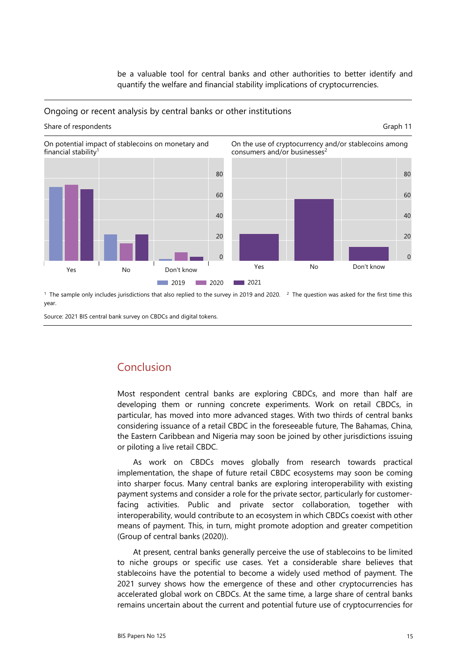be a valuable tool for central banks and other authorities to better identify and quantify the welfare and financial stability implications of cryptocurrencies.

#### Ongoing or recent analysis by central banks or other institutions

#### Share of respondents Graph 11 On potential impact of stablecoins on monetary and financial stability<sup>1</sup> On the use of cryptocurrency and/or stablecoins among consumers and/or businesses<sup>2</sup> 80 60 40  $20$  $\overline{0}$ Yes No Don't know 2019 2020 80 60  $40$  $20$  $\Omega$ Yes No Don't know  $2021$

<sup>1</sup> The sample only includes jurisdictions that also replied to the survey in 2019 and 2020. <sup>2</sup> The question was asked for the first time this year.

Source: 2021 BIS central bank survey on CBDCs and digital tokens.

## Conclusion

Most respondent central banks are exploring CBDCs, and more than half are developing them or running concrete experiments. Work on retail CBDCs, in particular, has moved into more advanced stages. With two thirds of central banks considering issuance of a retail CBDC in the foreseeable future, The Bahamas, China, the Eastern Caribbean and Nigeria may soon be joined by other jurisdictions issuing or piloting a live retail CBDC.

As work on CBDCs moves globally from research towards practical implementation, the shape of future retail CBDC ecosystems may soon be coming into sharper focus. Many central banks are exploring interoperability with existing payment systems and consider a role for the private sector, particularly for customerfacing activities. Public and private sector collaboration, together with interoperability, would contribute to an ecosystem in which CBDCs coexist with other means of payment. This, in turn, might promote adoption and greater competition (Group of central banks (2020)).

At present, central banks generally perceive the use of stablecoins to be limited to niche groups or specific use cases. Yet a considerable share believes that stablecoins have the potential to become a widely used method of payment. The 2021 survey shows how the emergence of these and other cryptocurrencies has accelerated global work on CBDCs. At the same time, a large share of central banks remains uncertain about the current and potential future use of cryptocurrencies for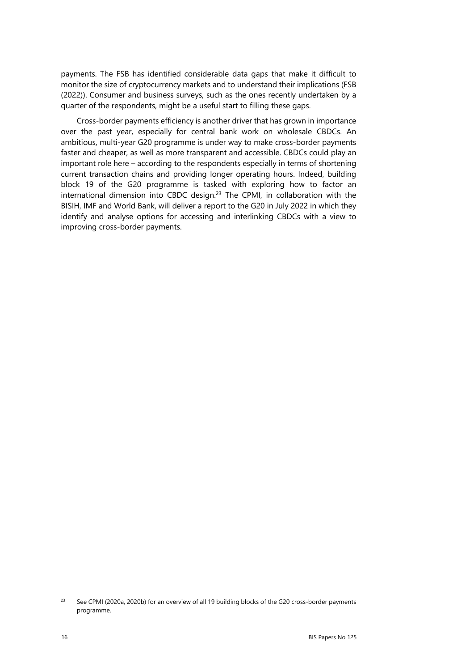payments. The FSB has identified considerable data gaps that make it difficult to monitor the size of cryptocurrency markets and to understand their implications (FSB (2022)). Consumer and business surveys, such as the ones recently undertaken by a quarter of the respondents, might be a useful start to filling these gaps.

Cross-border payments efficiency is another driver that has grown in importance over the past year, especially for central bank work on wholesale CBDCs. An ambitious, multi-year G20 programme is under way to make cross-border payments faster and cheaper, as well as more transparent and accessible. CBDCs could play an important role here – according to the respondents especially in terms of shortening current transaction chains and providing longer operating hours. Indeed, building block 19 of the G20 programme is tasked with exploring how to factor an international dimension into CBDC design.[23](#page-17-0) The CPMI, in collaboration with the BISIH, IMF and World Bank, will deliver a report to the G20 in July 2022 in which they identify and analyse options for accessing and interlinking CBDCs with a view to improving cross-border payments.

<span id="page-17-0"></span><sup>23</sup> See CPMI (2020a, 2020b) for an overview of all 19 building blocks of the G20 cross-border payments programme.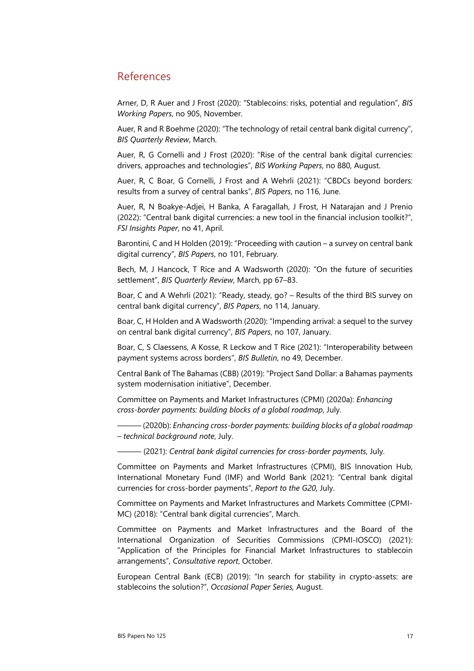#### References

Arner, D, R Auer and J Frost (2020): "Stablecoins: risks, potential and regulation", *BIS Working Papers*, no 905, November.

Auer, R and R Boehme (2020): ["The technology of retail central bank digital currency"](https://www.bis.org/publ/qtrpdf/r_qt2003j.htm), *BIS Quarterly Review*, March.

Auer, R, G Cornelli and J Frost (2020): "Rise of the central bank digital currencies: drivers, approaches and technologies", *BIS Working Papers*, no 880, August.

Auer, R, C Boar, G Cornelli, J Frost and A Wehrli (2021): "CBDCs beyond borders: results from a survey of central banks", *BIS Papers*, no 116, June.

Auer, R, N Boakye-Adjei, H Banka, A Faragallah, J Frost, H Natarajan and J Prenio (2022): "Central bank digital currencies: a new tool in the financial inclusion toolkit?", *FSI Insights Paper*, no 41, April.

Barontini, C and H Holden (2019): "Proceeding with caution – a survey on central bank digital currency", *BIS Papers*, no 101, February.

Bech, M, J Hancock, T Rice and A Wadsworth (2020): "On the future of securities settlement", *BIS Quarterly Review*, March, pp 67–83.

Boar, C and A Wehrli (2021): "Ready, steady, go? – Results of the third BIS survey on central bank digital currency", *BIS Papers*, no 114, January.

Boar, C, H Holden and A Wadsworth (2020): "Impending arrival: a sequel to the survey on central bank digital currency", *BIS Papers*, no 107, January.

Boar, C, S Claessens, A Kosse, R Leckow and T Rice (2021): "Interoperability between payment systems across borders", *BIS Bulletin*, no 49, December.

Central Bank of The Bahamas (CBB) (2019): "Project Sand Dollar: a Bahamas payments system modernisation initiative", December.

Committee on Payments and Market Infrastructures (CPMI) (2020a): *Enhancing cross-border payments: building blocks of a global roadmap*, July.

――― (2020b): *Enhancing cross-border payments: building blocks of a global roadmap – technical background note*, July.

――― (2021): *Central bank digital currencies for cross-border payments*, July.

Committee on Payments and Market Infrastructures (CPMI), BIS Innovation Hub, International Monetary Fund (IMF) and World Bank (2021): "Central bank digital currencies for cross-border payments", *Report to the G20,* July.

Committee on Payments and Market Infrastructures and Markets Committee (CPMI-MC) (2018): "Central bank digital currencies", March.

Committee on Payments and Market Infrastructures and the Board of the International Organization of Securities Commissions (CPMI-IOSCO) (2021): "Application of the Principles for Financial Market Infrastructures to stablecoin arrangements", *Consultative report*, October.

European Central Bank (ECB) (2019): "In search for stability in crypto-assets: are stablecoins the solution?", *Occasional Paper Series,* August.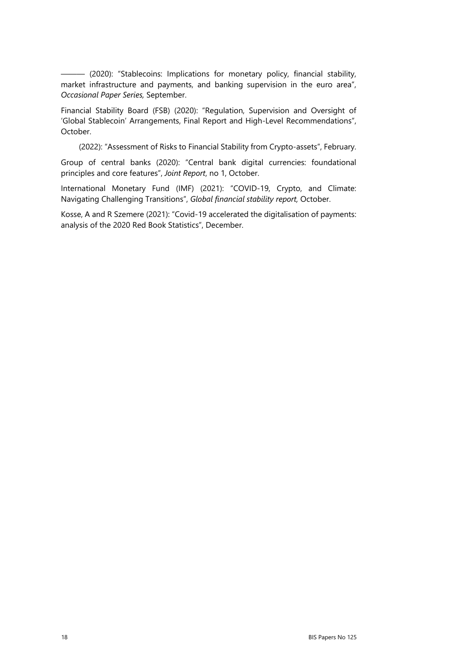――― (2020): "Stablecoins: Implications for monetary policy, financial stability, market infrastructure and payments, and banking supervision in the euro area", *Occasional Paper Series,* September.

Financial Stability Board (FSB) (2020): "Regulation, Supervision and Oversight of 'Global Stablecoin' Arrangements, Final Report and High-Level Recommendations", October.

(2022): "Assessment of Risks to Financial Stability from Crypto-assets", February.

Group of central banks (2020): "Central bank digital currencies: foundational principles and core features", *Joint Report*, no 1, October.

International Monetary Fund (IMF) (2021): "COVID-19, Crypto, and Climate: Navigating Challenging Transitions", *Global financial stability report,* October.

Kosse, A and R Szemere (2021): "Covid-19 accelerated the digitalisation of payments: analysis of the 2020 Red Book Statistics", December.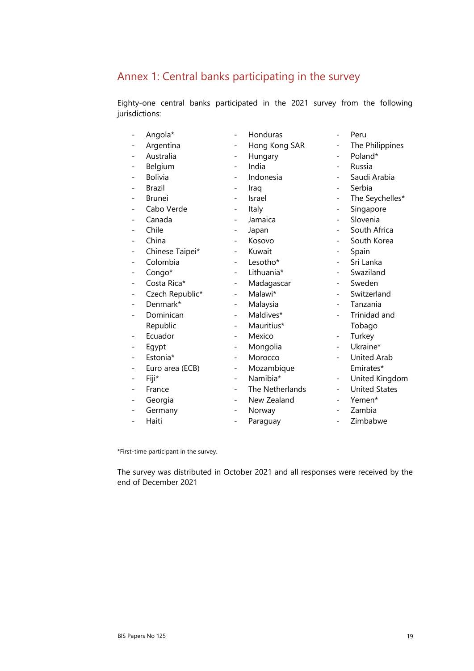## Annex 1: Central banks participating in the survey

Eighty-one central banks participated in the 2021 survey from the following jurisdictions:

|                          | Angola*         | $\overline{\phantom{0}}$ | Honduras        | $\overline{\phantom{0}}$ | Peru                 |
|--------------------------|-----------------|--------------------------|-----------------|--------------------------|----------------------|
|                          | Argentina       |                          | Hong Kong SAR   |                          | The Philippines      |
|                          | Australia       |                          | Hungary         |                          | Poland*              |
|                          | Belgium         | $\overline{\phantom{0}}$ | India           | $\overline{\phantom{0}}$ | Russia               |
|                          | <b>Bolivia</b>  |                          | Indonesia       |                          | Saudi Arabia         |
|                          | Brazil          |                          | Iraq            |                          | Serbia               |
|                          | <b>Brunei</b>   |                          | Israel          | $\overline{\phantom{0}}$ | The Seychelles*      |
|                          | Cabo Verde      |                          | Italy           | $\overline{\phantom{0}}$ | Singapore            |
|                          | Canada          |                          | Jamaica         |                          | Slovenia             |
|                          | Chile           | -                        | Japan           | $\overline{\phantom{0}}$ | South Africa         |
|                          | China           |                          | Kosovo          |                          | South Korea          |
|                          | Chinese Taipei* |                          | Kuwait          |                          | Spain                |
|                          | Colombia        | -                        | Lesotho*        | $\overline{\phantom{0}}$ | Sri Lanka            |
|                          | Congo*          | -                        | Lithuania*      |                          | Swaziland            |
|                          | Costa Rica*     |                          | Madagascar      |                          | Sweden               |
|                          | Czech Republic* | -                        | Malawi*         | $\overline{\phantom{0}}$ | Switzerland          |
|                          | Denmark*        | -                        | Malaysia        | $\overline{\phantom{0}}$ | Tanzania             |
|                          | Dominican       |                          | Maldives*       |                          | Trinidad and         |
|                          | Republic        |                          | Mauritius*      |                          | Tobago               |
|                          | Ecuador         | -                        | Mexico          | $\overline{\phantom{0}}$ | Turkey               |
|                          | Egypt           |                          | Mongolia        |                          | Ukraine*             |
|                          | Estonia*        |                          | Morocco         |                          | <b>United Arab</b>   |
|                          | Euro area (ECB) | -                        | Mozambique      |                          | Emirates*            |
|                          | Fiji*           |                          | Namibia*        | $\overline{\phantom{0}}$ | United Kingdom       |
|                          | France          |                          | The Netherlands |                          | <b>United States</b> |
|                          | Georgia         | -                        | New Zealand     | $\overline{\phantom{0}}$ | Yemen*               |
|                          | Germany         |                          | Norway          |                          | Zambia               |
| $\overline{\phantom{0}}$ | Haiti           | $\overline{\phantom{0}}$ | Paraguay        | $\overline{\phantom{0}}$ | Zimbabwe             |

\*First-time participant in the survey.

The survey was distributed in October 2021 and all responses were received by the end of December 2021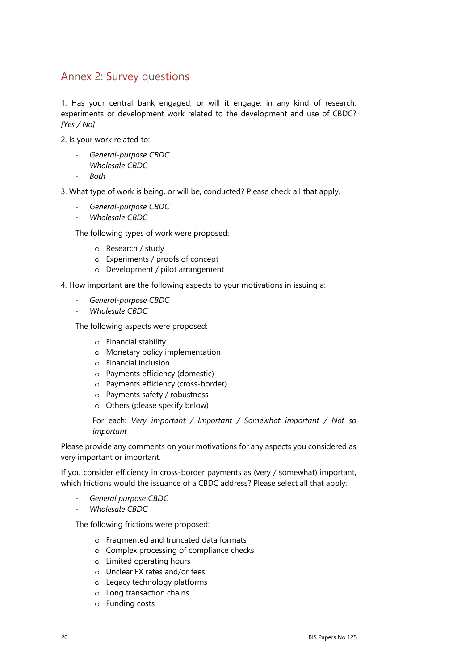## Annex 2: Survey questions

1. Has your central bank engaged, or will it engage, in any kind of research, experiments or development work related to the development and use of CBDC? *[Yes / No]*

2. Is your work related to:

- *General-purpose CBDC*
- *Wholesale CBDC*
- *Both*

3. What type of work is being, or will be, conducted? Please check all that apply.

- *General-purpose CBDC*
- *Wholesale CBDC*

The following types of work were proposed:

- o Research / study
- o Experiments / proofs of concept
- o Development / pilot arrangement

4. How important are the following aspects to your motivations in issuing a:

- *General-purpose CBDC*
- *Wholesale CBDC*

The following aspects were proposed:

- o Financial stability
- o Monetary policy implementation
- o Financial inclusion
- o Payments efficiency (domestic)
- o Payments efficiency (cross-border)
- o Payments safety / robustness
- o Others (please specify below)

For each: *Very important / Important / Somewhat important / Not so important*

Please provide any comments on your motivations for any aspects you considered as very important or important.

If you consider efficiency in cross-border payments as (very / somewhat) important, which frictions would the issuance of a CBDC address? Please select all that apply:

- *General purpose CBDC*
- *Wholesale CBDC*

The following frictions were proposed:

- o Fragmented and truncated data formats
- o Complex processing of compliance checks
- o Limited operating hours
- o Unclear FX rates and/or fees
- o Legacy technology platforms
- o Long transaction chains
- o Funding costs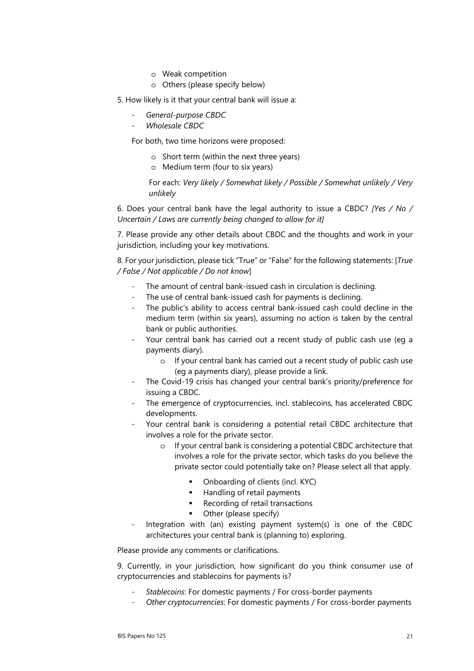- o Weak competition
- o Others (please specify below)
- 5. How likely is it that your central bank will issue a:
	- *General-purpose CBDC*
	- *Wholesale CBDC*

For both, two time horizons were proposed:

- o Short term (within the next three years)
- o Medium term (four to six years)

For each: *Very likely / Somewhat likely / Possible / Somewhat unlikely / Very unlikely*

6. Does your central bank have the legal authority to issue a CBDC? *[Yes / No / Uncertain / Laws are currently being changed to allow for it]* 

7. Please provide any other details about CBDC and the thoughts and work in your jurisdiction, including your key motivations.

8. For your jurisdiction, please tick "True" or "False" for the following statements: [*True / False / Not applicable / Do not know*]

- The amount of central bank-issued cash in circulation is declining.
- The use of central bank-issued cash for payments is declining.
- The public's ability to access central bank-issued cash could decline in the medium term (within six years), assuming no action is taken by the central bank or public authorities.
- Your central bank has carried out a recent study of public cash use (eq a payments diary).
	- o If your central bank has carried out a recent study of public cash use (eg a payments diary), please provide a link.
- The Covid-19 crisis has changed your central bank's priority/preference for issuing a CBDC.
- The emergence of cryptocurrencies, incl. stablecoins, has accelerated CBDC developments.
- Your central bank is considering a potential retail CBDC architecture that involves a role for the private sector.
	- o If your central bank is considering a potential CBDC architecture that involves a role for the private sector, which tasks do you believe the private sector could potentially take on? Please select all that apply.
		- Onboarding of clients (incl. KYC)
		- **Handling of retail payments**
		- Recording of retail transactions
		- Other (please specify)
- Integration with (an) existing payment system(s) is one of the CBDC architectures your central bank is (planning to) exploring.

Please provide any comments or clarifications.

9. Currently, in your jurisdiction, how significant do you think consumer use of cryptocurrencies and stablecoins for payments is?

- *Stablecoins*: For domestic payments / For cross-border payments
- *Other cryptocurrencies*: For domestic payments / For cross-border payments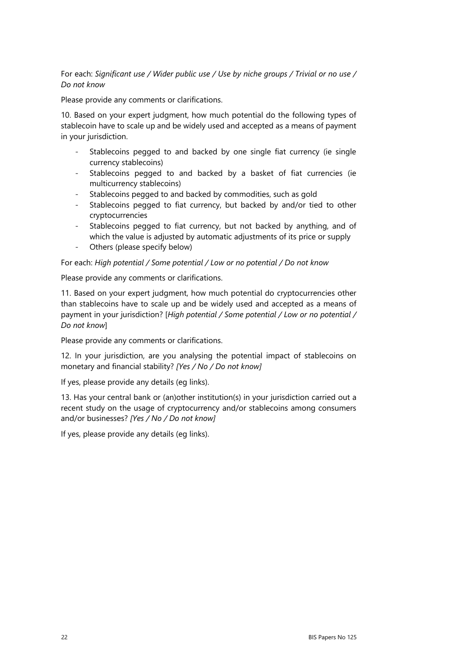For each: *Significant use / Wider public use / Use by niche groups / Trivial or no use / Do not know*

Please provide any comments or clarifications.

10. Based on your expert judgment, how much potential do the following types of stablecoin have to scale up and be widely used and accepted as a means of payment in your jurisdiction.

- Stablecoins pegged to and backed by one single fiat currency (ie single currency stablecoins)
- Stablecoins pegged to and backed by a basket of fiat currencies (ie multicurrency stablecoins)
- Stablecoins pegged to and backed by commodities, such as gold
- Stablecoins pegged to fiat currency, but backed by and/or tied to other cryptocurrencies
- Stablecoins pegged to fiat currency, but not backed by anything, and of which the value is adjusted by automatic adjustments of its price or supply
- Others (please specify below)

For each: *High potential / Some potential / Low or no potential / Do not know*

Please provide any comments or clarifications.

11. Based on your expert judgment, how much potential do cryptocurrencies other than stablecoins have to scale up and be widely used and accepted as a means of payment in your jurisdiction? [*High potential / Some potential / Low or no potential / Do not know*]

Please provide any comments or clarifications.

12. In your jurisdiction, are you analysing the potential impact of stablecoins on monetary and financial stability? *[Yes / No / Do not know]* 

If yes, please provide any details (eg links).

13. Has your central bank or (an)other institution(s) in your jurisdiction carried out a recent study on the usage of cryptocurrency and/or stablecoins among consumers and/or businesses? *[Yes / No / Do not know]* 

If yes, please provide any details (eg links).